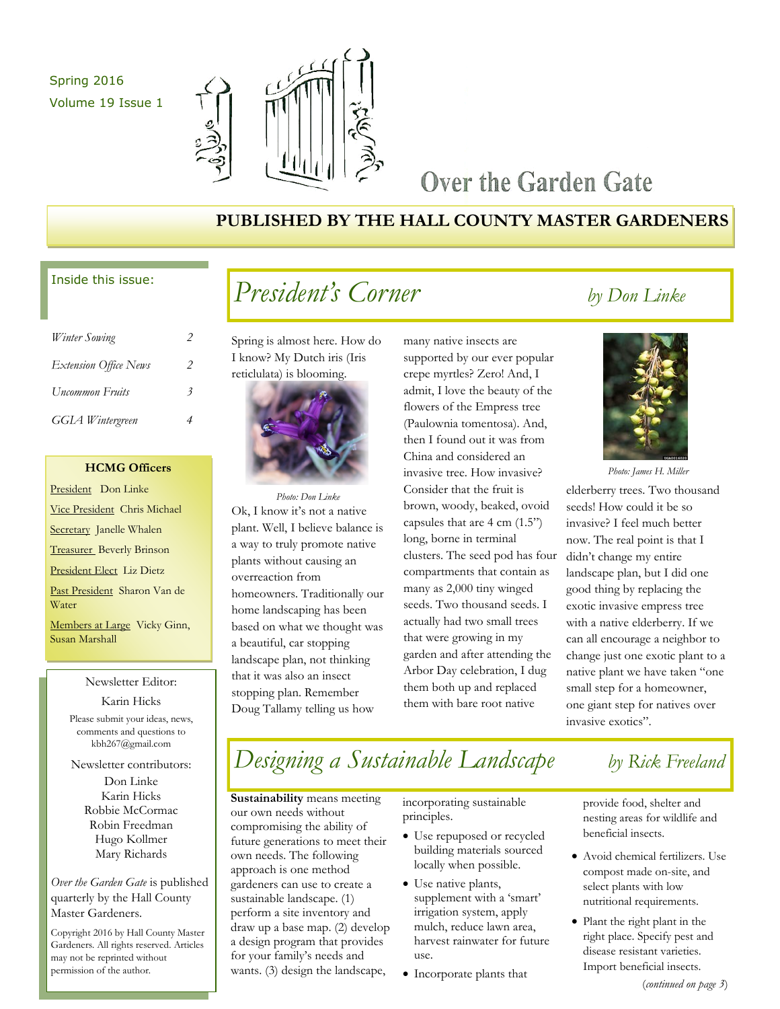## Spring 2016 Volume 19 Issue 1



## Over the Garden Gate

## **PUBLISHED BY THE HALL COUNTY MASTER GARDENERS**

### Inside this issue:

| Winter Sowing                | 2 |
|------------------------------|---|
| <b>Extension Office News</b> | 2 |
| Uncommon Fruits              | 3 |
| <b>GGIA</b> Wintergreen      |   |

### **HCMG Officers**

President Don Linke Vice President Chris Michael Secretary Janelle Whalen Treasurer Beverly Brinson President Elect Liz Dietz Past President Sharon Van de Water Members at Large Vicky Ginn, Susan Marshall

## Newsletter Editor:

Karin Hicks Please submit your ideas, news, comments and questions to kbh267@gmail.com

Newsletter contributors:

Don Linke Karin Hicks Robbie McCormac Robin Freedman Hugo Kollmer Mary Richards

*Over the Garden Gate* is published quarterly by the Hall County Master Gardeners.

Copyright 2016 by Hall County Master Gardeners. All rights reserved. Articles may not be reprinted without permission of the author.

# *President's Corner by Don Linke*

Spring is almost here. How do I know? My Dutch iris (Iris reticlulata) is blooming.



Ok, I know it's not a native plant. Well, I believe balance is a way to truly promote native plants without causing an overreaction from homeowners. Traditionally our home landscaping has been based on what we thought was a beautiful, car stopping landscape plan, not thinking that it was also an insect stopping plan. Remember Doug Tallamy telling us how *Photo: Don Linke*

many native insects are supported by our ever popular crepe myrtles? Zero! And, I admit, I love the beauty of the flowers of the Empress tree (Paulownia tomentosa). And, then I found out it was from China and considered an invasive tree. How invasive? Consider that the fruit is brown, woody, beaked, ovoid capsules that are 4 cm (1.5") long, borne in terminal clusters. The seed pod has four compartments that contain as many as 2,000 tiny winged seeds. Two thousand seeds. I actually had two small trees that were growing in my garden and after attending the Arbor Day celebration, I dug them both up and replaced them with bare root native



*Photo: James H. Miller*

elderberry trees. Two thousand seeds! How could it be so invasive? I feel much better now. The real point is that I didn't change my entire landscape plan, but I did one good thing by replacing the exotic invasive empress tree with a native elderberry. If we can all encourage a neighbor to change just one exotic plant to a native plant we have taken "one small step for a homeowner, one giant step for natives over invasive exotics".

# *Designing a Sustainable Landscape by Rick Freeland*

**Sustainability** means meeting our own needs without compromising the ability of future generations to meet their own needs. The following approach is one method gardeners can use to create a sustainable landscape. (1) perform a site inventory and draw up a base map. (2) develop a design program that provides for your family's needs and wants. (3) design the landscape,

incorporating sustainable principles.

- Use repuposed or recycled building materials sourced locally when possible.
- Use native plants, supplement with a 'smart' irrigation system, apply mulch, reduce lawn area, harvest rainwater for future use.
- Incorporate plants that

provide food, shelter and nesting areas for wildlife and beneficial insects.

- Avoid chemical fertilizers. Use compost made on-site, and select plants with low nutritional requirements.
- Plant the right plant in the right place. Specify pest and disease resistant varieties. Import beneficial insects.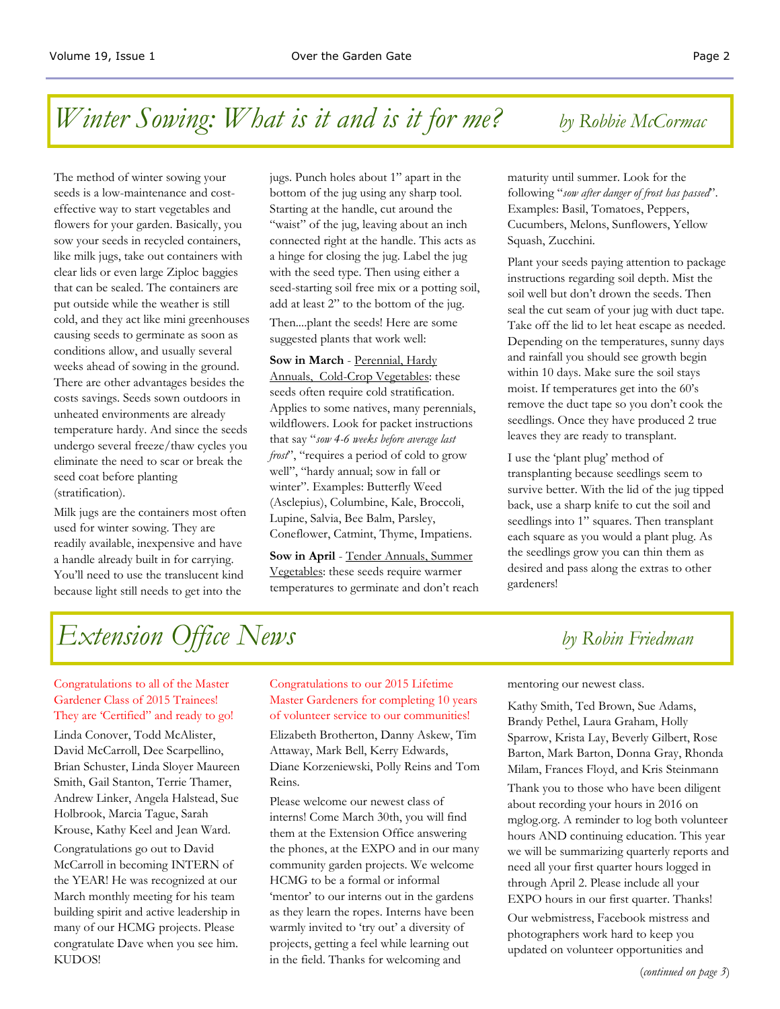## *Winter Sowing: What is it and is it for me? by Robbie McCormac*

The method of winter sowing your seeds is a low-maintenance and costeffective way to start vegetables and flowers for your garden. Basically, you sow your seeds in recycled containers, like milk jugs, take out containers with clear lids or even large Ziploc baggies that can be sealed. The containers are put outside while the weather is still cold, and they act like mini greenhouses causing seeds to germinate as soon as conditions allow, and usually several weeks ahead of sowing in the ground. There are other advantages besides the costs savings. Seeds sown outdoors in unheated environments are already temperature hardy. And since the seeds undergo several freeze/thaw cycles you eliminate the need to scar or break the seed coat before planting (stratification).

Milk jugs are the containers most often used for winter sowing. They are readily available, inexpensive and have a handle already built in for carrying. You'll need to use the translucent kind because light still needs to get into the

jugs. Punch holes about 1" apart in the bottom of the jug using any sharp tool. Starting at the handle, cut around the "waist" of the jug, leaving about an inch connected right at the handle. This acts as a hinge for closing the jug. Label the jug with the seed type. Then using either a seed-starting soil free mix or a potting soil, add at least 2" to the bottom of the jug.

Then....plant the seeds! Here are some suggested plants that work well:

**Sow in March** - Perennial, Hardy Annuals, Cold-Crop Vegetables: these seeds often require cold stratification. Applies to some natives, many perennials, wildflowers. Look for packet instructions that say "*sow 4-6 weeks before average last frost*", "requires a period of cold to grow well", "hardy annual; sow in fall or winter". Examples: Butterfly Weed (Asclepius), Columbine, Kale, Broccoli, Lupine, Salvia, Bee Balm, Parsley, Coneflower, Catmint, Thyme, Impatiens.

**Sow in April** - Tender Annuals, Summer Vegetables: these seeds require warmer temperatures to germinate and don't reach

maturity until summer. Look for the following "*sow after danger of frost has passed*". Examples: Basil, Tomatoes, Peppers, Cucumbers, Melons, Sunflowers, Yellow Squash, Zucchini.

Plant your seeds paying attention to package instructions regarding soil depth. Mist the soil well but don't drown the seeds. Then seal the cut seam of your jug with duct tape. Take off the lid to let heat escape as needed. Depending on the temperatures, sunny days and rainfall you should see growth begin within 10 days. Make sure the soil stays moist. If temperatures get into the 60's remove the duct tape so you don't cook the seedlings. Once they have produced 2 true leaves they are ready to transplant.

I use the 'plant plug' method of transplanting because seedlings seem to survive better. With the lid of the jug tipped back, use a sharp knife to cut the soil and seedlings into 1" squares. Then transplant each square as you would a plant plug. As the seedlings grow you can thin them as desired and pass along the extras to other gardeners!

# *Extension Office News by Robin Friedman*

### Congratulations to all of the Master Gardener Class of 2015 Trainees! They are 'Certified" and ready to go!

Linda Conover, Todd McAlister, David McCarroll, Dee Scarpellino, Brian Schuster, Linda Sloyer Maureen Smith, Gail Stanton, Terrie Thamer, Andrew Linker, Angela Halstead, Sue Holbrook, Marcia Tague, Sarah Krouse, Kathy Keel and Jean Ward.

Congratulations go out to David McCarroll in becoming INTERN of the YEAR! He was recognized at our March monthly meeting for his team building spirit and active leadership in many of our HCMG projects. Please congratulate Dave when you see him. KUDOS!

#### Congratulations to our 2015 Lifetime Master Gardeners for completing 10 years of volunteer service to our communities!

Elizabeth Brotherton, Danny Askew, Tim Attaway, Mark Bell, Kerry Edwards, Diane Korzeniewski, Polly Reins and Tom Reins.

Please welcome our newest class of interns! Come March 30th, you will find them at the Extension Office answering the phones, at the EXPO and in our many community garden projects. We welcome HCMG to be a formal or informal 'mentor' to our interns out in the gardens as they learn the ropes. Interns have been warmly invited to 'try out' a diversity of projects, getting a feel while learning out in the field. Thanks for welcoming and

mentoring our newest class.

Kathy Smith, Ted Brown, Sue Adams, Brandy Pethel, Laura Graham, Holly Sparrow, Krista Lay, Beverly Gilbert, Rose Barton, Mark Barton, Donna Gray, Rhonda Milam, Frances Floyd, and Kris Steinmann

Thank you to those who have been diligent about recording your hours in 2016 on mglog.org. A reminder to log both volunteer hours AND continuing education. This year we will be summarizing quarterly reports and need all your first quarter hours logged in through April 2. Please include all your EXPO hours in our first quarter. Thanks!

Our webmistress, Facebook mistress and photographers work hard to keep you updated on volunteer opportunities and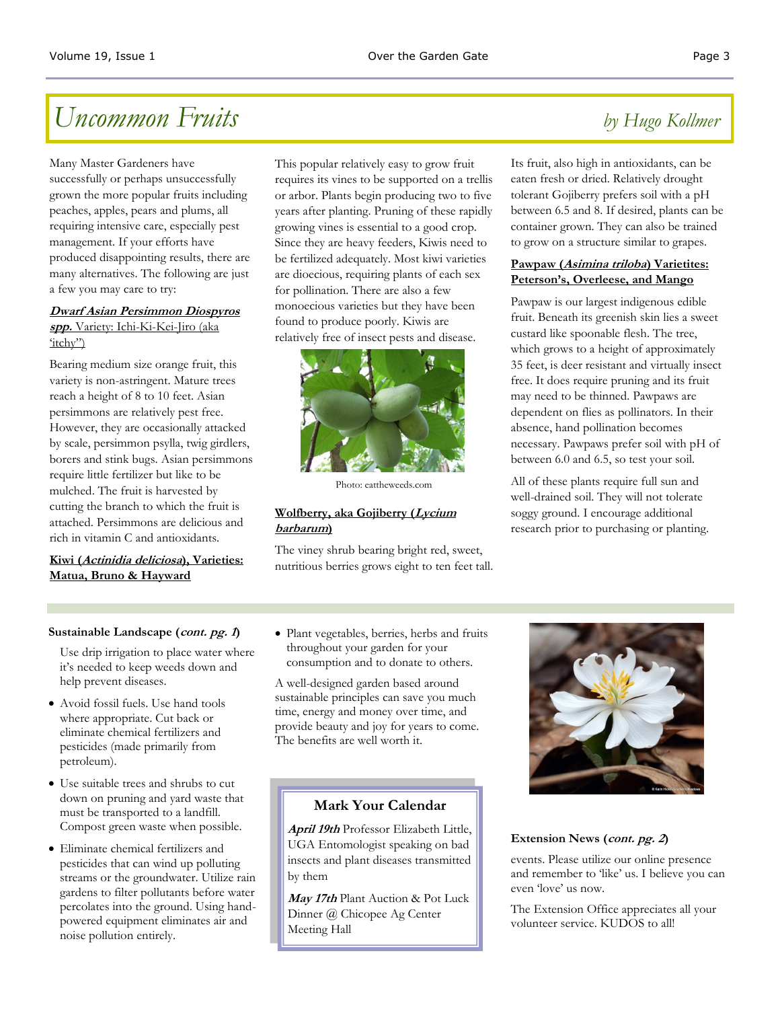# *Uncommon Fruits by Hugo Kollmer*

Many Master Gardeners have successfully or perhaps unsuccessfully grown the more popular fruits including peaches, apples, pears and plums, all requiring intensive care, especially pest management. If your efforts have produced disappointing results, there are many alternatives. The following are just a few you may care to try:

#### **Dwarf Asian Persimmon Diospyros spp.** Variety: Ichi-Ki-Kei-Jiro (aka 'itchy")

Bearing medium size orange fruit, this variety is non-astringent. Mature trees reach a height of 8 to 10 feet. Asian persimmons are relatively pest free. However, they are occasionally attacked by scale, persimmon psylla, twig girdlers, borers and stink bugs. Asian persimmons require little fertilizer but like to be mulched. The fruit is harvested by cutting the branch to which the fruit is attached. Persimmons are delicious and rich in vitamin C and antioxidants.

### **Kiwi (Actinidia deliciosa), Varieties: Matua, Bruno & Hayward**

This popular relatively easy to grow fruit requires its vines to be supported on a trellis or arbor. Plants begin producing two to five years after planting. Pruning of these rapidly growing vines is essential to a good crop. Since they are heavy feeders, Kiwis need to be fertilized adequately. Most kiwi varieties are dioecious, requiring plants of each sex for pollination. There are also a few monoecious varieties but they have been found to produce poorly. Kiwis are relatively free of insect pests and disease.



Photo: eattheweeds.com

#### **Wolfberry, aka Gojiberry (Lycium barbarum)**

The viney shrub bearing bright red, sweet, nutritious berries grows eight to ten feet tall.

Its fruit, also high in antioxidants, can be eaten fresh or dried. Relatively drought tolerant Gojiberry prefers soil with a pH between 6.5 and 8. If desired, plants can be container grown. They can also be trained to grow on a structure similar to grapes.

#### **Pawpaw (Asimina triloba) Varietites: Peterson's, Overleese, and Mango**

Pawpaw is our largest indigenous edible fruit. Beneath its greenish skin lies a sweet custard like spoonable flesh. The tree, which grows to a height of approximately 35 feet, is deer resistant and virtually insect free. It does require pruning and its fruit may need to be thinned. Pawpaws are dependent on flies as pollinators. In their absence, hand pollination becomes necessary. Pawpaws prefer soil with pH of between 6.0 and 6.5, so test your soil.

All of these plants require full sun and well-drained soil. They will not tolerate soggy ground. I encourage additional research prior to purchasing or planting.

### **Sustainable Landscape (cont. pg. <sup>1</sup>)**

Use drip irrigation to place water where it's needed to keep weeds down and help prevent diseases.

- Avoid fossil fuels. Use hand tools where appropriate. Cut back or eliminate chemical fertilizers and pesticides (made primarily from petroleum).
- Use suitable trees and shrubs to cut down on pruning and yard waste that must be transported to a landfill. Compost green waste when possible.
- Eliminate chemical fertilizers and pesticides that can wind up polluting streams or the groundwater. Utilize rain gardens to filter pollutants before water percolates into the ground. Using handpowered equipment eliminates air and noise pollution entirely.

 Plant vegetables, berries, herbs and fruits throughout your garden for your consumption and to donate to others.

A well-designed garden based around sustainable principles can save you much time, energy and money over time, and provide beauty and joy for years to come. The benefits are well worth it.

### **Mark Your Calendar**

**April 19th** Professor Elizabeth Little, UGA Entomologist speaking on bad insects and plant diseases transmitted by them

**May 17th** Plant Auction & Pot Luck Dinner @ Chicopee Ag Center Meeting Hall



### **Extension News (cont. pg. <sup>2</sup>)**

events. Please utilize our online presence and remember to 'like' us. I believe you can even 'love' us now.

The Extension Office appreciates all your volunteer service. KUDOS to all!